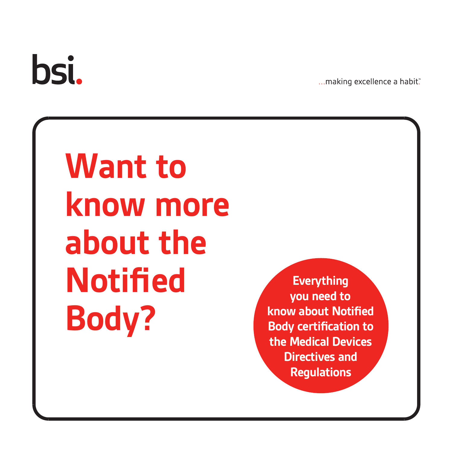# bsi.

... making excellence a habit.

**Want to know more about the Notified Body?**

**Everything you need to know about Notified Body certification to the Medical Devices Directives and Regulations**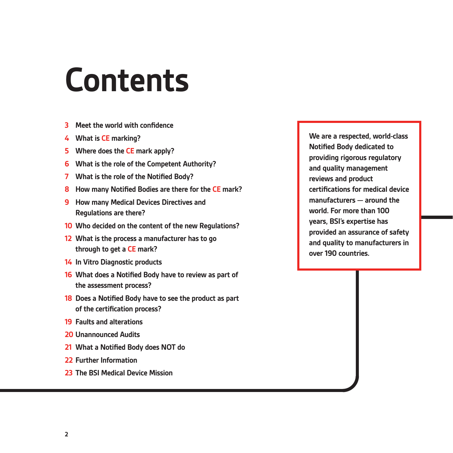### **Contents**

- **3 Meet the world with confidence**
- **4 What is CE marking?**
- **5 Where does the CE mark apply?**
- **6 What is the role of the Competent Authority?**
- **7 What is the role of the Notified Body?**
- **8 How many Notified Bodies are there for the CE mark?**
- **9 How many Medical Devices Directives and Regulations are there?**
- **10 Who decided on the content of the new Regulations?**
- **12 What is the process a manufacturer has to go through to get a CE mark?**
- **14 In Vitro Diagnostic products**
- **16 What does a Notified Body have to review as part of the assessment process?**
- **18 Does a Notified Body have to see the product as part of the certification process?**
- **19 Faults and alterations**
- **20 Unannounced Audits**
- **21 What a Notified Body does NOT do**
- **22 Further Information**
- **23 The BSI Medical Device Mission**

**We are a respected, world-class Notified Body dedicated to providing rigorous regulatory and quality management reviews and product certifications for medical device manufacturers — around the world. For more than 100 years, BSI's expertise has provided an assurance of safety and quality to manufacturers in over 190 countries.**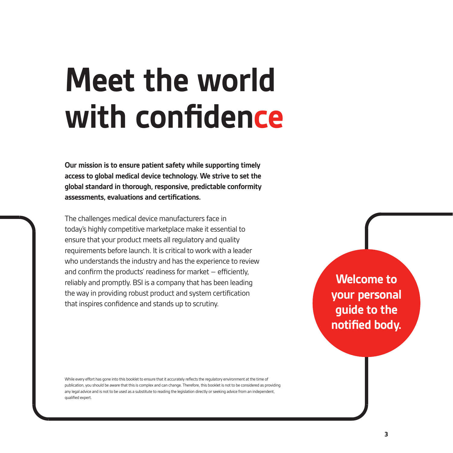### **Meet the world with confidence**

**Our mission is to ensure patient safety while supporting timely access to global medical device technology. We strive to set the global standard in thorough, responsive, predictable conformity assessments, evaluations and certifications.**

The challenges medical device manufacturers face in today's highly competitive marketplace make it essential to ensure that your product meets all regulatory and quality requirements before launch. It is critical to work with a leader who understands the industry and has the experience to review and confirm the products' readiness for market – efficiently, reliably and promptly. BSI is a company that has been leading the way in providing robust product and system certification that inspires confidence and stands up to scrutiny.

**Welcome to your personal guide to the notified body.**

While every effort has gone into this booklet to ensure that it accurately reflects the regulatory environment at the time of publication, you should be aware that this is complex and can change. Therefore, this booklet is not to be considered as providing any legal advice and is not to be used as a substitute to reading the legislation directly or seeking advice from an independent, qualified expert.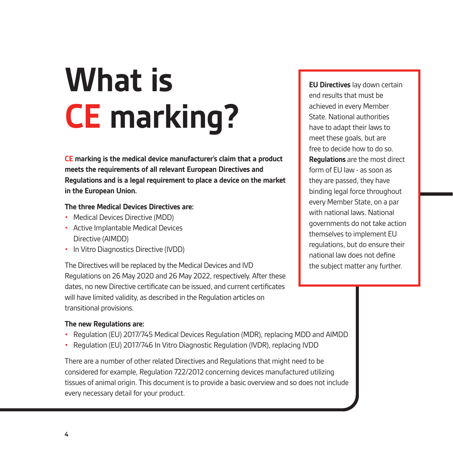## **What is CE marking?**

**CE marking is the medical device manufacturer's claim that a product meets the requirements of all relevant European Directives and Regulations and is a legal requirement to place a device on the market in the European Union.** 

### **The three Medical Devices Directives are:**

- Medical Devices Directive (MDD)
- Active Implantable Medical Devices Directive (AIMDD)
- In Vitro Diagnostics Directive (IVDD)

The Directives will be replaced by the Medical Devices and IVD Regulations on 26 May 2020 and 26 May 2022, respectively. After these dates, no new Directive certificate can be issued, and current certificates will have limited validity, as described in the Regulation articles on transitional provisions.

### **The new Regulations are:**

- Regulation (EU) 2017/745 Medical Devices Regulation (MDR), replacing MDD and AIMDD
- Regulation (EU) 2017/746 In Vitro Diagnostic Regulation (IVDR), replacing IVDD

There are a number of other related Directives and Regulations that might need to be considered for example, Regulation 722/2012 concerning devices manufactured utilizing tissues of animal origin. This document is to provide a basic overview and so does not include every necessary detail for your product.

**EU Directives** lay down certain end results that must be achieved in every Member State. National authorities have to adapt their laws to meet these goals, but are free to decide how to do so. **Regulations** are the most direct form of EU law - as soon as they are passed, they have binding legal force throughout every Member State, on a par with national laws. National governments do not take action themselves to implement EU regulations, but do ensure their national law does not define the subject matter any further.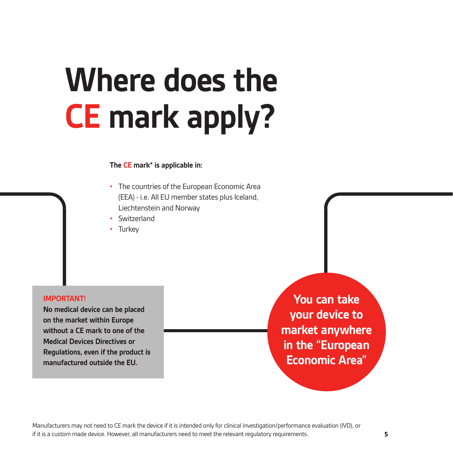### **Where does the CE mark apply?**

### **The CE mark\* is applicable in:**

- The countries of the European Economic Area (EEA) - i.e. All EU member states plus Iceland, Liechtenstein and Norway
- **Switzerland**
- **Turkey**

### **IMPORTANT!**

**No medical device can be placed on the market within Europe without a CE mark to one of the Medical Devices Directives or Regulations, even if the product is manufactured outside the EU.**

**You can take your device to market anywhere in the "European Economic Area"**

Manufacturers may not need to CE mark the device if it is intended only for clinical investigation/performance evaluation (IVD), or if it is a custom made device. However, all manufacturers need to meet the relevant regulatory requirements.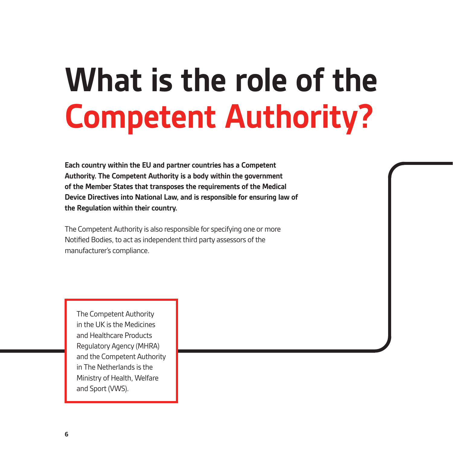### **What is the role of the Competent Authority?**

**Each country within the EU and partner countries has a Competent Authority. The Competent Authority is a body within the government of the Member States that transposes the requirements of the Medical Device Directives into National Law, and is responsible for ensuring law of the Regulation within their country.**

The Competent Authority is also responsible for specifying one or more Notified Bodies, to act as independent third party assessors of the manufacturer's compliance.

The Competent Authority in the UK is the Medicines and Healthcare Products Regulatory Agency (MHRA) and the Competent Authority in The Netherlands is the Ministry of Health, Welfare and Sport (VWS).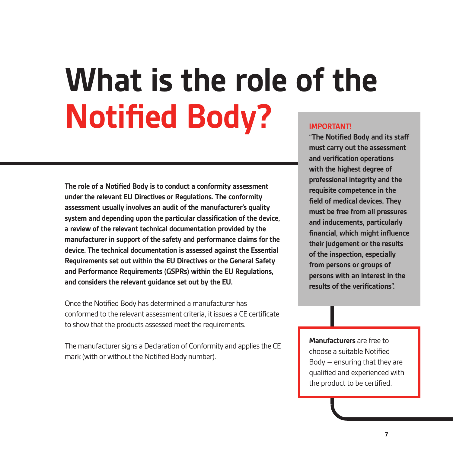### **What is the role of the Notified Body? IMPORTANT!**

**The role of a Notified Body is to conduct a conformity assessment under the relevant EU Directives or Regulations. The conformity assessment usually involves an audit of the manufacturer's quality system and depending upon the particular classification of the device, a review of the relevant technical documentation provided by the manufacturer in support of the safety and performance claims for the device. The technical documentation is assessed against the Essential Requirements set out within the EU Directives or the General Safety and Performance Requirements (GSPRs) within the EU Regulations, and considers the relevant guidance set out by the EU.**

Once the Notified Body has determined a manufacturer has conformed to the relevant assessment criteria, it issues a CE certificate to show that the products assessed meet the requirements.

The manufacturer signs a Declaration of Conformity and applies the CE mark (with or without the Notified Body number).

**"The Notified Body and its staff must carry out the assessment and verification operations with the highest degree of professional integrity and the requisite competence in the field of medical devices. They must be free from all pressures and inducements, particularly financial, which might influence their judgement or the results of the inspection, especially from persons or groups of persons with an interest in the results of the verifications".**

**Manufacturers** are free to choose a suitable Notified Body – ensuring that they are qualified and experienced with the product to be certified.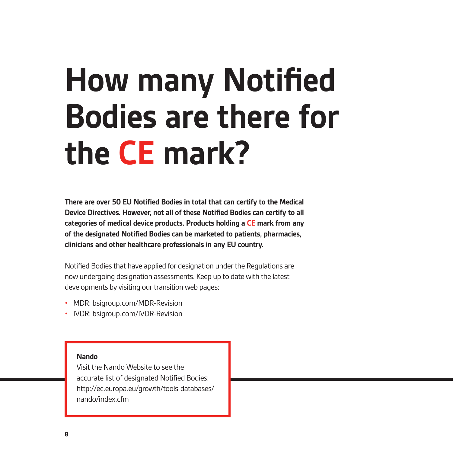### **How many Notified Bodies are there for the CE mark?**

**There are over 50 EU Notified Bodies in total that can certify to the Medical Device Directives. However, not all of these Notified Bodies can certify to all categories of medical device products. Products holding a CE mark from any of the designated Notified Bodies can be marketed to patients, pharmacies, clinicians and other healthcare professionals in any EU country.** 

Notified Bodies that have applied for designation under the Regulations are now undergoing designation assessments. Keep up to date with the latest developments by visiting our transition web pages:

- MDR: bsigroup.com/MDR-Revision
- IVDR: bsigroup.com/IVDR-Revision

### **Nando**

Visit the Nando Website to see the accurate list of designated Notified Bodies: http://ec.europa.eu/growth/tools-databases/ nando/index.cfm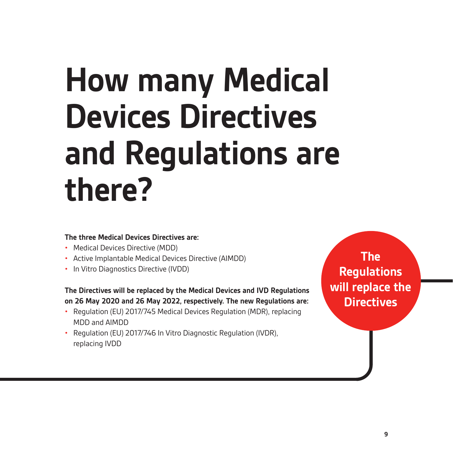### **How many Medical Devices Directives and Regulations are there?**

### **The three Medical Devices Directives are:**

- Medical Devices Directive (MDD)
- Active Implantable Medical Devices Directive (AIMDD)
- In Vitro Diagnostics Directive (IVDD)

### **The Directives will be replaced by the Medical Devices and IVD Regulations on 26 May 2020 and 26 May 2022, respectively. The new Regulations are:**

- Regulation (EU) 2017/745 Medical Devices Regulation (MDR), replacing MDD and AIMDD
- Regulation (EU) 2017/746 In Vitro Diagnostic Regulation (IVDR), replacing IVDD

**The Regulations will replace the Directives**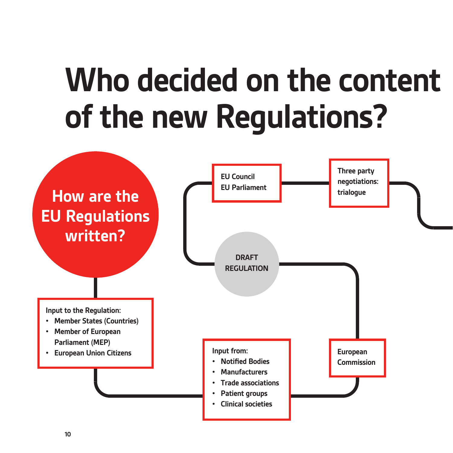### **Who decided on the content of the new Regulations?**

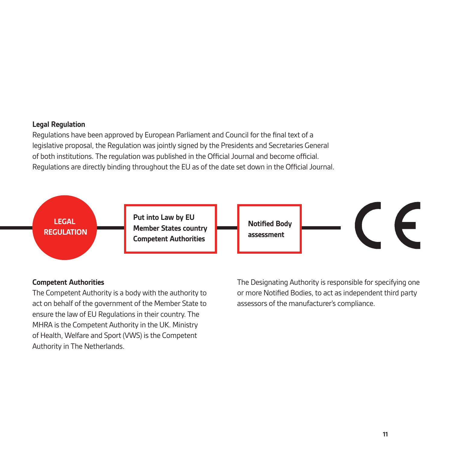### **Legal Regulation**

Regulations have been approved by European Parliament and Council for the final text of a legislative proposal, the Regulation was jointly signed by the Presidents and Secretaries General of both institutions. The regulation was published in the Official Journal and become official. Regulations are directly binding throughout the EU as of the date set down in the Official Journal.



### **Competent Authorities**

The Competent Authority is a body with the authority to act on behalf of the government of the Member State to ensure the law of EU Regulations in their country. The MHRA is the Competent Authority in the UK. Ministry of Health, Welfare and Sport (VWS) is the Competent Authority in The Netherlands.

The Designating Authority is responsible for specifying one or more Notified Bodies, to act as independent third party assessors of the manufacturer's compliance.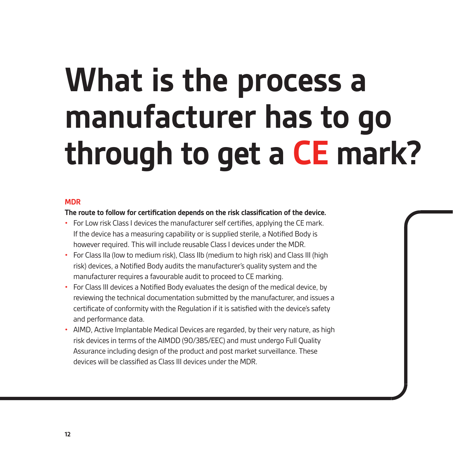### **What is the process a manufacturer has to go through to get a CE mark?**

### **MDR**

### **The route to follow for certification depends on the risk classification of the device.**

- For Low risk Class I devices the manufacturer self certifies, applying the CE mark. If the device has a measuring capability or is supplied sterile, a Notified Body is however required. This will include reusable Class I devices under the MDR.
- For Class IIa (low to medium risk), Class IIb (medium to high risk) and Class III (high risk) devices, a Notified Body audits the manufacturer's quality system and the manufacturer requires a favourable audit to proceed to CE marking.
- For Class III devices a Notified Body evaluates the design of the medical device, by reviewing the technical documentation submitted by the manufacturer, and issues a certificate of conformity with the Regulation if it is satisfied with the device's safety and performance data.
- AIMD, Active Implantable Medical Devices are regarded, by their very nature, as high risk devices in terms of the AIMDD (90/385/EEC) and must undergo Full Quality Assurance including design of the product and post market surveillance. These devices will be classified as Class III devices under the MDR.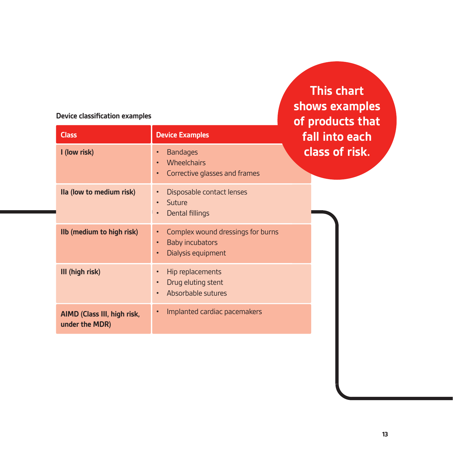### **Device classification examples**

**Class Device Examples I (low risk)** • Bandages Wheelchairs • Corrective glasses and frames **IIa (low to medium risk)** • Disposable contact lenses • Suture • Dental fillings **IIb (medium to high risk)** • Complex wound dressings for burns • Baby incubators • Dialysis equipment **III (high risk)** • Hip replacements • Drug eluting stent • Absorbable sutures **AIMD (Class III, high risk, under the MDR)**  • Implanted cardiac pacemakers **of products that fall into each class of risk.**

**This chart** 

**shows examples**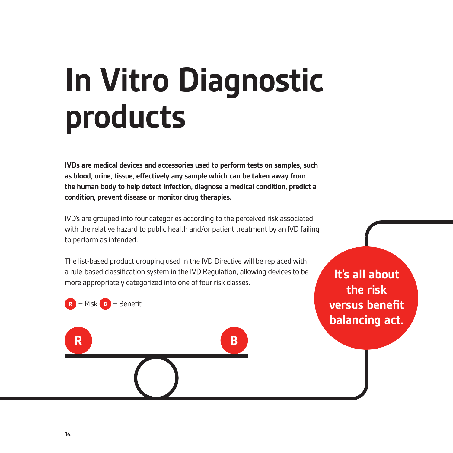## **In Vitro Diagnostic products**

**IVDs are medical devices and accessories used to perform tests on samples, such as blood, urine, tissue, effectively any sample which can be taken away from the human body to help detect infection, diagnose a medical condition, predict a condition, prevent disease or monitor drug therapies.** 

IVD's are grouped into four categories according to the perceived risk associated with the relative hazard to public health and/or patient treatment by an IVD failing to perform as intended.

The list-based product grouping used in the IVD Directive will be replaced with a rule-based classification system in the IVD Regulation, allowing devices to be more appropriately categorized into one of four risk classes.

**R B**

 $R =$  Risk  $B =$  Benefit

**It's all about the risk versus benefit balancing act.**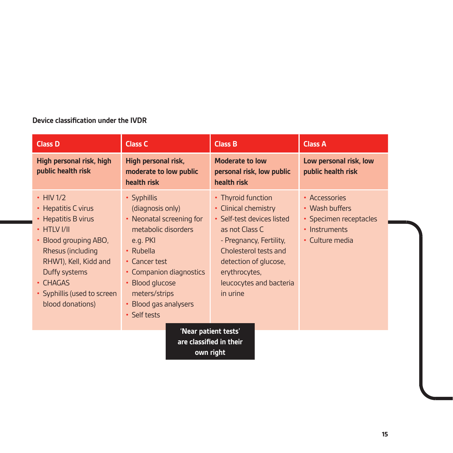### **Device classification under the IVDR**

| <b>Class D</b>                                                                                                                                                                                                                            | <b>Class C</b>                                                                                                                                                                                                                       | <b>Class B</b>                                                                                                                                                                                                                  | <b>Class A</b>                                                                                |
|-------------------------------------------------------------------------------------------------------------------------------------------------------------------------------------------------------------------------------------------|--------------------------------------------------------------------------------------------------------------------------------------------------------------------------------------------------------------------------------------|---------------------------------------------------------------------------------------------------------------------------------------------------------------------------------------------------------------------------------|-----------------------------------------------------------------------------------------------|
| High personal risk, high<br>public health risk                                                                                                                                                                                            | High personal risk,<br>moderate to low public<br>health risk                                                                                                                                                                         | <b>Moderate to low</b><br>personal risk, low public<br>health risk                                                                                                                                                              | Low personal risk, low<br>public health risk                                                  |
| $\cdot$ HIV 1/2<br>• Hepatitis C virus<br>• Hepatitis B virus<br>$\cdot$ HTLV I/II<br>• Blood grouping ABO,<br>Rhesus (including<br>RHW1), Kell, Kidd and<br>Duffy systems<br>• CHAGAS<br>• Syphillis (used to screen<br>blood donations) | • Syphillis<br>(diagnosis only)<br>• Neonatal screening for<br>metabolic disorders<br>e.g. PKI<br>• Rubella<br>• Cancer test<br>• Companion diagnostics<br>• Blood glucose<br>meters/strips<br>• Blood gas analysers<br>• Self tests | • Thyroid function<br>• Clinical chemistry<br>• Self-test devices listed<br>as not Class C<br>- Pregnancy, Fertility,<br>Cholesterol tests and<br>detection of glucose,<br>erythrocytes,<br>leucocytes and bacteria<br>in urine | • Accessories<br>• Wash buffers<br>• Specimen receptacles<br>• Instruments<br>• Culture media |
| 'Near patient tests'<br>are classified in their<br>own right                                                                                                                                                                              |                                                                                                                                                                                                                                      |                                                                                                                                                                                                                                 |                                                                                               |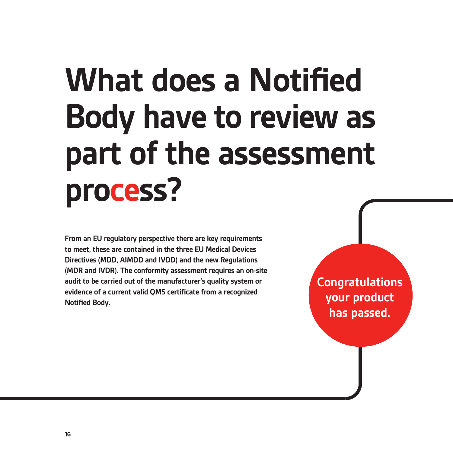### **What does a Notified Body have to review as part of the assessment process?**

**From an EU regulatory perspective there are key requirements to meet, these are contained in the three EU Medical Devices Directives (MDD, AIMDD and IVDD) and the new Regulations (MDR and IVDR). The conformity assessment requires an on-site audit to be carried out of the manufacturer's quality system or evidence of a current valid QMS certificate from a recognized Notified Body.**

**Congratulations your product has passed.**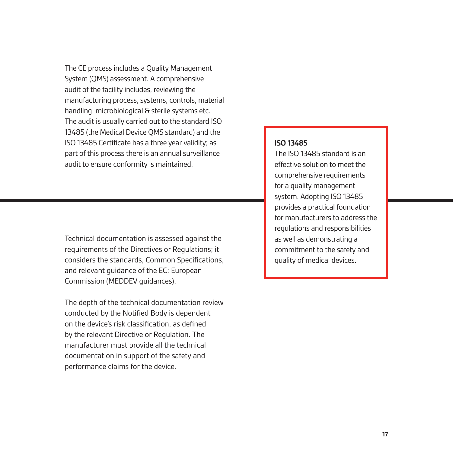The CE process includes a Quality Management System (QMS) assessment. A comprehensive audit of the facility includes, reviewing the manufacturing process, systems, controls, material handling, microbiological & sterile systems etc. The audit is usually carried out to the standard ISO 13485 (the Medical Device QMS standard) and the ISO 13485 Certificate has a three year validity; as part of this process there is an annual surveillance audit to ensure conformity is maintained.

Technical documentation is assessed against the requirements of the Directives or Regulations; it considers the standards, Common Specifications, and relevant guidance of the EC: European Commission (MEDDEV guidances).

The depth of the technical documentation review conducted by the Notified Body is dependent on the device's risk classification, as defined by the relevant Directive or Regulation. The manufacturer must provide all the technical documentation in support of the safety and performance claims for the device.

### **ISO 13485**

The ISO 13485 standard is an effective solution to meet the comprehensive requirements for a quality management system. Adopting ISO 13485 provides a practical foundation for manufacturers to address the regulations and responsibilities as well as demonstrating a commitment to the safety and quality of medical devices.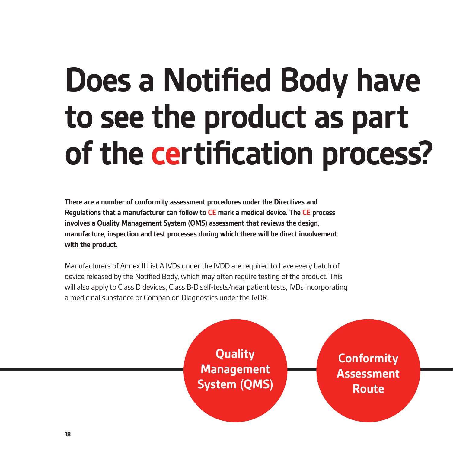### **Does a Notified Body have to see the product as part of the certification process?**

**There are a number of conformity assessment procedures under the Directives and Regulations that a manufacturer can follow to CE mark a medical device. The CE process involves a Quality Management System (QMS) assessment that reviews the design, manufacture, inspection and test processes during which there will be direct involvement with the product.**

Manufacturers of Annex II List A IVDs under the IVDD are required to have every batch of device released by the Notified Body, which may often require testing of the product. This will also apply to Class D devices, Class B-D self-tests/near patient tests, IVDs incorporating a medicinal substance or Companion Diagnostics under the IVDR.

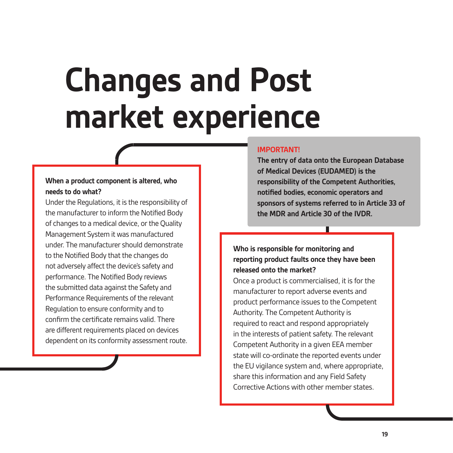### **Changes and Post market experience**

### **When a product component is altered, who needs to do what?**

Under the Regulations, it is the responsibility of the manufacturer to inform the Notified Body of changes to a medical device, or the Quality Management System it was manufactured under. The manufacturer should demonstrate to the Notified Body that the changes do not adversely affect the device's safety and performance. The Notified Body reviews the submitted data against the Safety and Performance Requirements of the relevant Regulation to ensure conformity and to confirm the certificate remains valid. There are different requirements placed on devices dependent on its conformity assessment route.

### **IMPORTANT!**

**The entry of data onto the European Database of Medical Devices (EUDAMED) is the responsibility of the Competent Authorities, notified bodies, economic operators and sponsors of systems referred to in Article 33 of the MDR and Article 30 of the IVDR.**

### **Who is responsible for monitoring and reporting product faults once they have been released onto the market?**

Once a product is commercialised, it is for the manufacturer to report adverse events and product performance issues to the Competent Authority. The Competent Authority is required to react and respond appropriately in the interests of patient safety. The relevant Competent Authority in a given EEA member state will co-ordinate the reported events under the EU vigilance system and, where appropriate, share this information and any Field Safety Corrective Actions with other member states.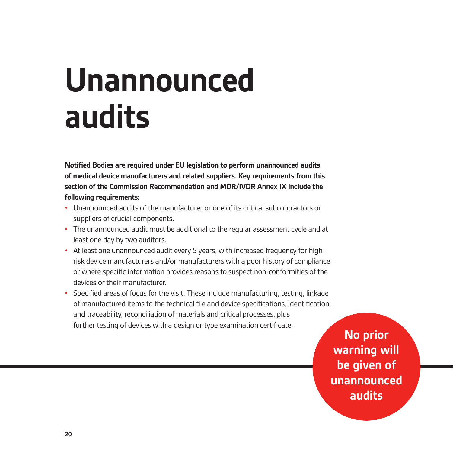### **Unannounced audits**

**Notified Bodies are required under EU legislation to perform unannounced audits of medical device manufacturers and related suppliers. Key requirements from this section of the Commission Recommendation and MDR/IVDR Annex IX include the following requirements:**

- Unannounced audits of the manufacturer or one of its critical subcontractors or suppliers of crucial components.
- The unannounced audit must be additional to the regular assessment cycle and at least one day by two auditors.
- At least one unannounced audit every 5 years, with increased frequency for high risk device manufacturers and/or manufacturers with a poor history of compliance, or where specific information provides reasons to suspect non-conformities of the devices or their manufacturer.
- Specified areas of focus for the visit. These include manufacturing, testing, linkage of manufactured items to the technical file and device specifications, identification and traceability, reconciliation of materials and critical processes, plus further testing of devices with a design or type examination certificate.

**No prior warning will be given of unannounced audits**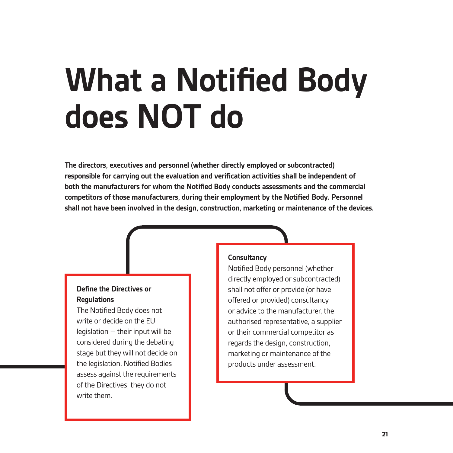### **What a Notified Body does NOT do**

**The directors, executives and personnel (whether directly employed or subcontracted) responsible for carrying out the evaluation and verification activities shall be independent of both the manufacturers for whom the Notified Body conducts assessments and the commercial competitors of those manufacturers, during their employment by the Notified Body. Personnel shall not have been involved in the design, construction, marketing or maintenance of the devices.**

### **Define the Directives or Regulations**

The Notified Body does not write or decide on the EU legislation – their input will be considered during the debating stage but they will not decide on the legislation. Notified Bodies assess against the requirements of the Directives, they do not write them.

### **Consultancy**

Notified Body personnel (whether directly employed or subcontracted) shall not offer or provide (or have offered or provided) consultancy or advice to the manufacturer, the authorised representative, a supplier or their commercial competitor as regards the design, construction, marketing or maintenance of the products under assessment.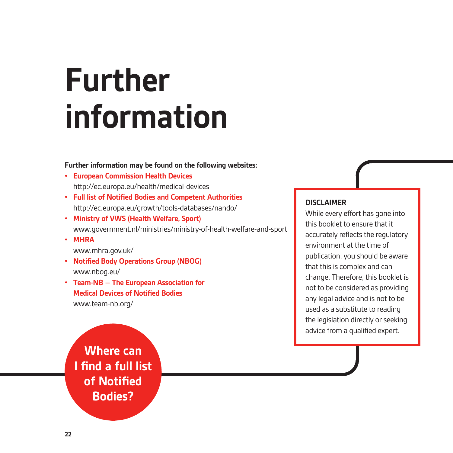### **Further information**

### **Further information may be found on the following websites:**

- **• European Commission Health Devices**  http://ec.europa.eu/health/medical-devices
- **• Full list of Notified Bodies and Competent Authorities** http://ec.europa.eu/growth/tools-databases/nando/
- **• Ministry of VWS (Health Welfare, Sport)**  www.government.nl/ministries/ministry-of-health-welfare-and-sport
- **• MHRA**

www.mhra.gov.uk/

- **• Notified Body Operations Group (NBOG)** www.nbog.eu/
- **• Team-NB The European Association for Medical Devices of Notified Bodies** www.team-nb.org/

**DISCLAIMER**

While every effort has gone into this booklet to ensure that it accurately reflects the regulatory environment at the time of publication, you should be aware that this is complex and can change. Therefore, this booklet is not to be considered as providing any legal advice and is not to be used as a substitute to reading the legislation directly or seeking advice from a qualified expert.

**Where can I find a full list of Notified Bodies?**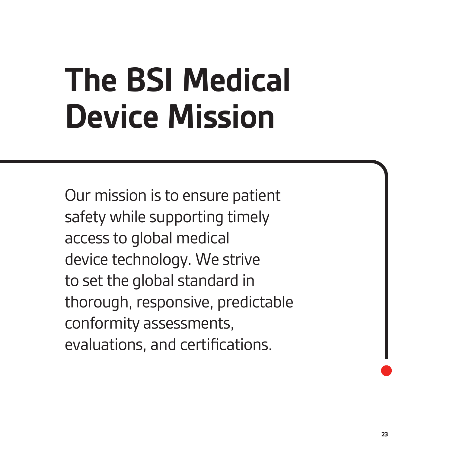### **The BSI Medical Device Mission**

Our mission is to ensure patient safety while supporting timely access to global medical device technology. We strive to set the global standard in thorough, responsive, predictable conformity assessments, evaluations, and certifications.